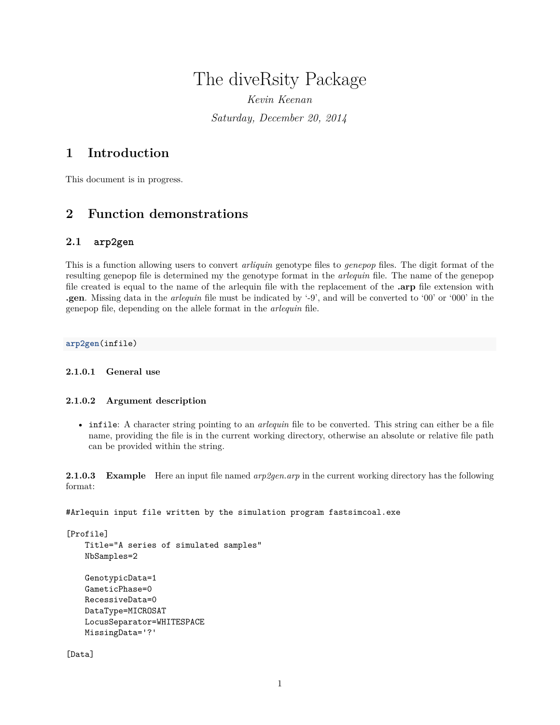# The diveRsity Package

*Kevin Keenan*

*Saturday, December 20, 2014*

# **1 Introduction**

This document is in progress.

# **2 Function demonstrations**

## **2.1 arp2gen**

This is a function allowing users to convert *arliquin* genotype files to *genepop* files. The digit format of the resulting genepop file is determined my the genotype format in the *arlequin* file. The name of the genepop file created is equal to the name of the arlequin file with the replacement of the **.arp** file extension with **.gen**. Missing data in the *arlequin* file must be indicated by '-9', and will be converted to '00' or '000' in the genepop file, depending on the allele format in the *arlequin* file.

**arp2gen**(infile)

## **2.1.0.1 General use**

#### **2.1.0.2 Argument description**

• infile: A character string pointing to an *arlequin* file to be converted. This string can either be a file name, providing the file is in the current working directory, otherwise an absolute or relative file path can be provided within the string.

**2.1.0.3 Example** Here an input file named *arp2gen.arp* in the current working directory has the following format:

#Arlequin input file written by the simulation program fastsimcoal.exe

```
[Profile]
   Title="A series of simulated samples"
   NbSamples=2
   GenotypicData=1
   GameticPhase=0
   RecessiveData=0
   DataType=MICROSAT
   LocusSeparator=WHITESPACE
   MissingData='?'
```
[Data]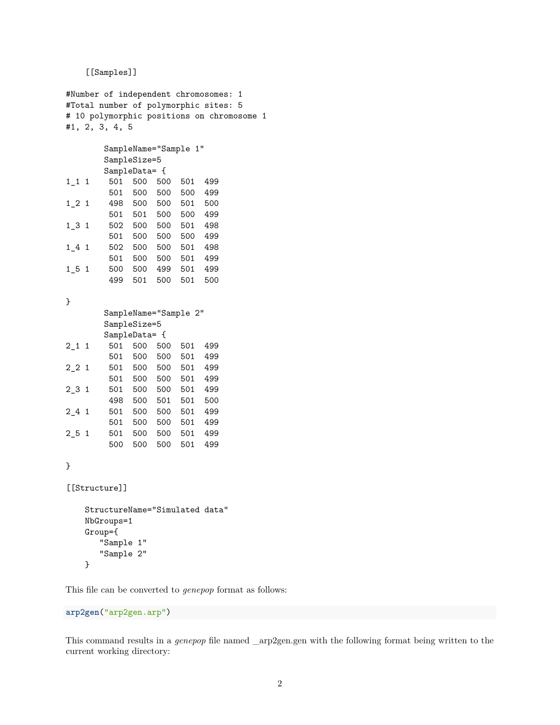[[Samples]]

#Number of independent chromosomes: 1 #Total number of polymorphic sites: 5 # 10 polymorphic positions on chromosome 1 #1, 2, 3, 4, 5

| SampleName="Sample 1" |               |     |     |     |     |  |  |  |
|-----------------------|---------------|-----|-----|-----|-----|--|--|--|
| SampleSize=5          |               |     |     |     |     |  |  |  |
|                       | SampleData= { |     |     |     |     |  |  |  |
| $1_{1}1$ 1            | 501           | 500 | 500 | 501 | 499 |  |  |  |
|                       | 501           | 500 | 500 | 500 | 499 |  |  |  |
| $1_{2}$ 1             | 498           | 500 | 500 | 501 | 500 |  |  |  |
|                       | 501           | 501 | 500 | 500 | 499 |  |  |  |
| $1_{-}3_{1}$          | 502           | 500 | 500 | 501 | 498 |  |  |  |
|                       | 501           | 500 | 500 | 500 | 499 |  |  |  |
| $1_{-}4_{1}$          | 502           | 500 | 500 | 501 | 498 |  |  |  |
|                       | 501           | 500 | 500 | 501 | 499 |  |  |  |
| 1 5<br>1              | 500           | 500 | 499 | 501 | 499 |  |  |  |
|                       | 499           | 501 | 500 | 501 | 500 |  |  |  |

```
}
```

| SampleName="Sample 2" |  |     |     |     |     |     |  |  |  |
|-----------------------|--|-----|-----|-----|-----|-----|--|--|--|
| SampleSize=5          |  |     |     |     |     |     |  |  |  |
| SampleData= {         |  |     |     |     |     |     |  |  |  |
| $2 - 1$ 1             |  | 501 | 500 | 500 | 501 | 499 |  |  |  |
|                       |  | 501 | 500 | 500 | 501 | 499 |  |  |  |
| $2_{2}$ 1             |  | 501 | 500 | 500 | 501 | 499 |  |  |  |
|                       |  | 501 | 500 | 500 | 501 | 499 |  |  |  |
| $2 - 3$ 1             |  | 501 | 500 | 500 | 501 | 499 |  |  |  |
|                       |  | 498 | 500 | 501 | 501 | 500 |  |  |  |
| $2 - 4$ 1             |  | 501 | 500 | 500 | 501 | 499 |  |  |  |
|                       |  | 501 | 500 | 500 | 501 | 499 |  |  |  |
| $2\_5$ 1              |  | 501 | 500 | 500 | 501 | 499 |  |  |  |
|                       |  | 500 | 500 | 500 | 501 | 499 |  |  |  |

```
}
```
[[Structure]]

```
StructureName="Simulated data"
NbGroups=1
Group={
   "Sample 1"
   "Sample 2"
}
```
This file can be converted to *genepop* format as follows:

```
arp2gen("arp2gen.arp")
```
This command results in a *genepop* file named \_arp2gen.gen with the following format being written to the current working directory: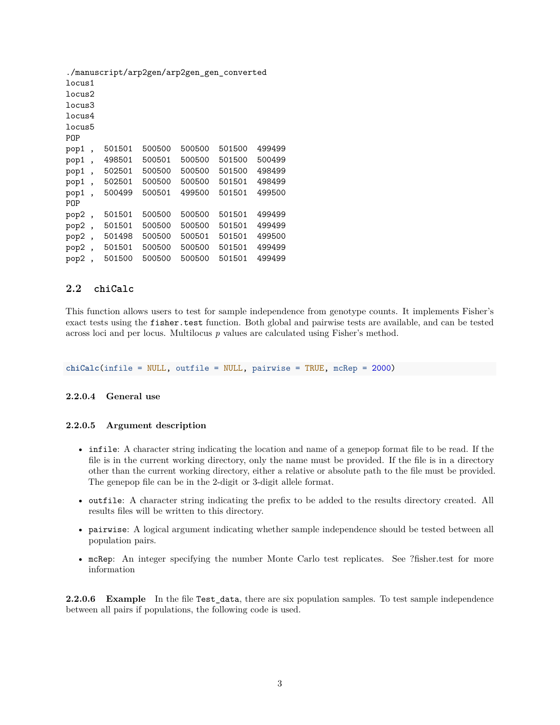./manuscript/arp2gen/arp2gen\_gen\_converted locus1 locus2 locus3 locus4 locus5 POP pop1 , 501501 500500 500500 501500 499499 pop1 , 498501 500501 500500 501500 500499 pop1 , 502501 500500 500500 501500 498499 pop1 , 502501 500500 500500 501501 498499 pop1 , 500499 500501 499500 501501 499500 POP pop2 , 501501 500500 500500 501501 499499 pop2 , 501501 500500 500500 501501 499499 pop2 , 501498 500500 500501 501501 499500 pop2 , 501501 500500 500500 501501 499499 pop2 , 501500 500500 500500 501501 499499

## **2.2 chiCalc**

This function allows users to test for sample independence from genotype counts. It implements Fisher's exact tests using the fisher.test function. Both global and pairwise tests are available, and can be tested across loci and per locus. Multilocus *p* values are calculated using Fisher's method.

**chiCalc**(infile = NULL, outfile = NULL, pairwise = TRUE, mcRep = 2000)

#### **2.2.0.4 General use**

#### **2.2.0.5 Argument description**

- infile: A character string indicating the location and name of a genepop format file to be read. If the file is in the current working directory, only the name must be provided. If the file is in a directory other than the current working directory, either a relative or absolute path to the file must be provided. The genepop file can be in the 2-digit or 3-digit allele format.
- outfile: A character string indicating the prefix to be added to the results directory created. All results files will be written to this directory.
- pairwise: A logical argument indicating whether sample independence should be tested between all population pairs.
- mcRep: An integer specifying the number Monte Carlo test replicates. See ?fisher.test for more information

2.2.0.6 Example In the file Test\_data, there are six population samples. To test sample independence between all pairs if populations, the following code is used.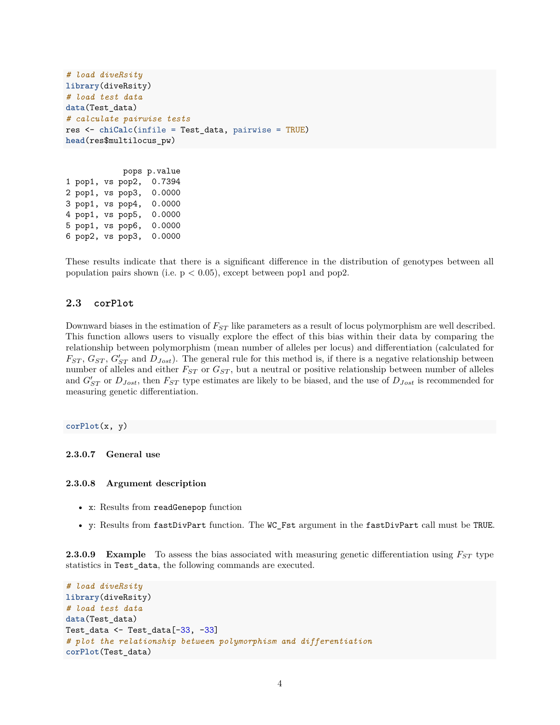```
# load diveRsity
library(diveRsity)
# load test data
data(Test_data)
# calculate pairwise tests
res <- chiCalc(infile = Test_data, pairwise = TRUE)
head(res$multilocus_pw)
```

```
pops p.value
1 pop1, vs pop2, 0.7394
2 pop1, vs pop3, 0.0000
3 pop1, vs pop4, 0.0000
4 pop1, vs pop5, 0.0000
5 pop1, vs pop6, 0.0000
6 pop2, vs pop3, 0.0000
```
These results indicate that there is a significant difference in the distribution of genotypes between all population pairs shown (i.e.  $p < 0.05$ ), except between pop1 and pop2.

## **2.3 corPlot**

Downward biases in the estimation of *FST* like parameters as a result of locus polymorphism are well described. This function allows users to visually explore the effect of this bias within their data by comparing the relationship between polymorphism (mean number of alleles per locus) and differentiation (calculated for  $F_{ST}$ ,  $G_{ST}$ ,  $G'_{ST}$  and  $D_{Jost}$ ). The general rule for this method is, if there is a negative relationship between number of alleles and either *FST* or *GST* , but a neutral or positive relationship between number of alleles and  $G'_{ST}$  or  $D_{Jost}$ , then  $F_{ST}$  type estimates are likely to be biased, and the use of  $D_{Jost}$  is recommended for measuring genetic differentiation.

#### **corPlot**(x, y)

**2.3.0.7 General use**

#### **2.3.0.8 Argument description**

- x: Results from readGenepop function
- y: Results from fastDivPart function. The WC\_Fst argument in the fastDivPart call must be TRUE.

**2.3.0.9** Example To assess the bias associated with measuring genetic differentiation using  $F_{ST}$  type statistics in Test\_data, the following commands are executed.

```
# load diveRsity
library(diveRsity)
# load test data
data(Test_data)
Test_data <- Test_data[-33, -33]
# plot the relationship between polymorphism and differentiation
corPlot(Test_data)
```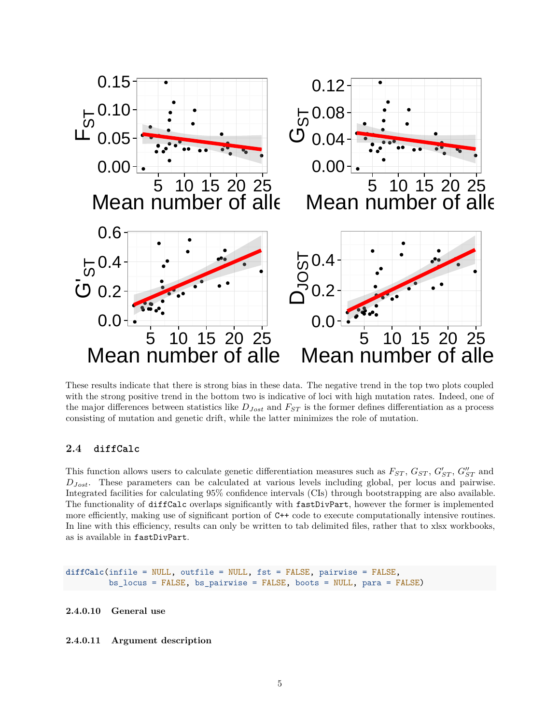

These results indicate that there is strong bias in these data. The negative trend in the top two plots coupled with the strong positive trend in the bottom two is indicative of loci with high mutation rates. Indeed, one of the major differences between statistics like *DJost* and *FST* is the former defines differentiation as a process consisting of mutation and genetic drift, while the latter minimizes the role of mutation.

#### **2.4 diffCalc**

This function allows users to calculate genetic differentiation measures such as  $F_{ST}$ ,  $G_{ST}$ ,  $G'_{ST}$ ,  $G''_{ST}$  and *DJost*. These parameters can be calculated at various levels including global, per locus and pairwise. Integrated facilities for calculating 95% confidence intervals (CIs) through bootstrapping are also available. The functionality of diffCalc overlaps significantly with fastDivPart, however the former is implemented more efficiently, making use of significant portion of C++ code to execute computationally intensive routines. In line with this efficiency, results can only be written to tab delimited files, rather that to xlsx workbooks, as is available in fastDivPart.

**diffCalc**(infile = NULL, outfile = NULL, fst = FALSE, pairwise = FALSE, bs\_locus = FALSE, bs\_pairwise = FALSE, boots = NULL, para = FALSE)

**2.4.0.10 General use**

**2.4.0.11 Argument description**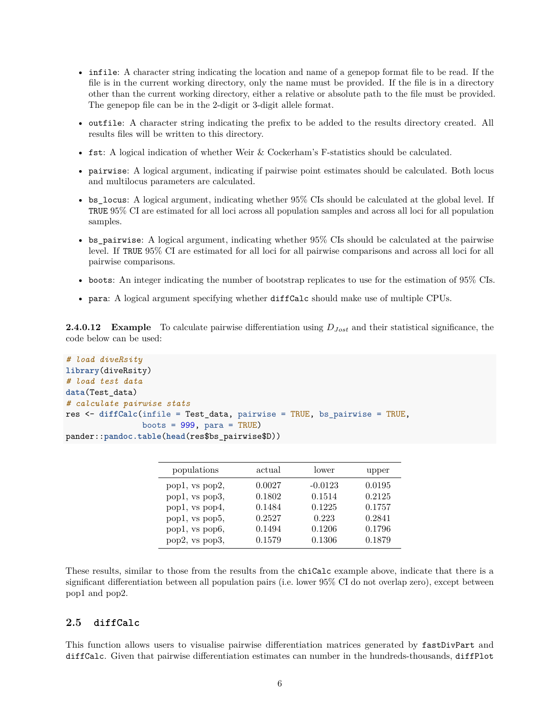- infile: A character string indicating the location and name of a genepop format file to be read. If the file is in the current working directory, only the name must be provided. If the file is in a directory other than the current working directory, either a relative or absolute path to the file must be provided. The genepop file can be in the 2-digit or 3-digit allele format.
- outfile: A character string indicating the prefix to be added to the results directory created. All results files will be written to this directory.
- fst: A logical indication of whether Weir & Cockerham's F-statistics should be calculated.
- pairwise: A logical argument, indicating if pairwise point estimates should be calculated. Both locus and multilocus parameters are calculated.
- bs\_locus: A logical argument, indicating whether 95% CIs should be calculated at the global level. If TRUE 95% CI are estimated for all loci across all population samples and across all loci for all population samples.
- bs\_pairwise: A logical argument, indicating whether 95% CIs should be calculated at the pairwise level. If TRUE 95% CI are estimated for all loci for all pairwise comparisons and across all loci for all pairwise comparisons.
- boots: An integer indicating the number of bootstrap replicates to use for the estimation of 95% CIs.
- para: A logical argument specifying whether diffCalc should make use of multiple CPUs.

**2.4.0.12 Example** To calculate pairwise differentiation using  $D_{Jost}$  and their statistical significance, the code below can be used:

```
# load diveRsity
library(diveRsity)
# load test data
data(Test_data)
# calculate pairwise stats
res <- diffCalc(infile = Test_data, pairwise = TRUE, bs_pairwise = TRUE,
                boots = 999, para = TRUE)
pander::pandoc.table(head(res$bs_pairwise$D))
```

| populations                            | actual           | lower            | upper            |
|----------------------------------------|------------------|------------------|------------------|
| pop1, vs pop2,                         | 0.0027           | $-0.0123$        | 0.0195           |
| pop1, vs pop3,<br>pop1, vs pop4,       | 0.1802<br>0.1484 | 0.1514<br>0.1225 | 0.2125<br>0.1757 |
| pop1, vs pop5,                         | 0.2527           | 0.223            | 0.2841           |
| pop1, vs pop6,<br>$pop2$ , vs $pop3$ , | 0.1494<br>0.1579 | 0.1206<br>0.1306 | 0.1796<br>0.1879 |

These results, similar to those from the results from the chiCalc example above, indicate that there is a significant differentiation between all population pairs (i.e. lower 95% CI do not overlap zero), except between pop1 and pop2.

#### **2.5 diffCalc**

This function allows users to visualise pairwise differentiation matrices generated by fastDivPart and diffCalc. Given that pairwise differentiation estimates can number in the hundreds-thousands, diffPlot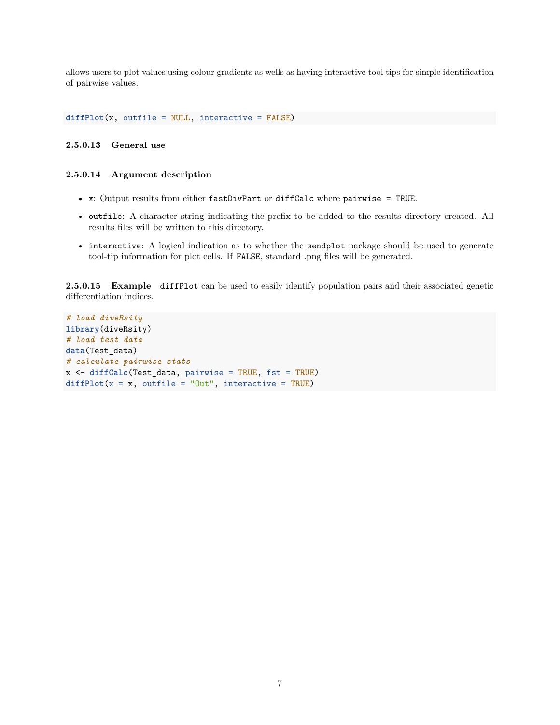allows users to plot values using colour gradients as wells as having interactive tool tips for simple identification of pairwise values.

**diffPlot**(x, outfile = NULL, interactive = FALSE)

## **2.5.0.13 General use**

#### **2.5.0.14 Argument description**

- x: Output results from either fastDivPart or diffCalc where pairwise = TRUE.
- outfile: A character string indicating the prefix to be added to the results directory created. All results files will be written to this directory.
- interactive: A logical indication as to whether the sendplot package should be used to generate tool-tip information for plot cells. If FALSE, standard .png files will be generated.

**2.5.0.15 Example** diffPlot can be used to easily identify population pairs and their associated genetic differentiation indices.

```
# load diveRsity
library(diveRsity)
# load test data
data(Test_data)
# calculate pairwise stats
x <- diffCalc(Test_data, pairwise = TRUE, fst = TRUE)
diffPlot(x = x, outfile = "Out", interactive = TRUE)
```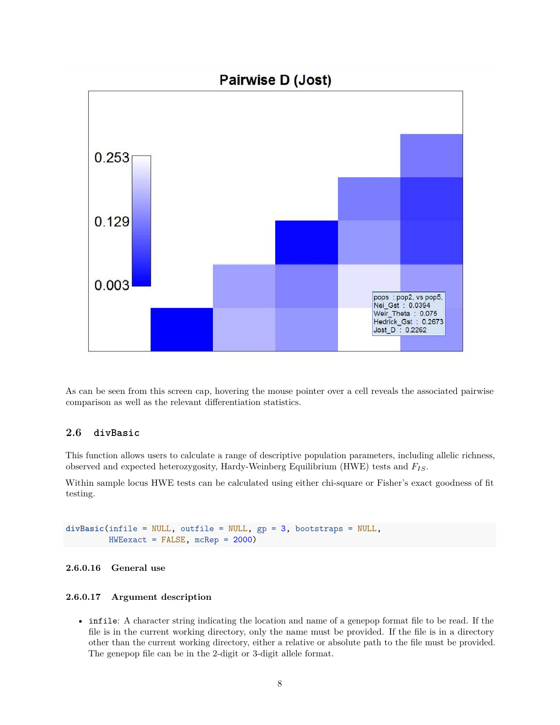

As can be seen from this screen cap, hovering the mouse pointer over a cell reveals the associated pairwise comparison as well as the relevant differentiation statistics.

## **2.6 divBasic**

This function allows users to calculate a range of descriptive population parameters, including allelic richness, observed and expected heterozygosity, Hardy-Weinberg Equilibrium (HWE) tests and *FIS*.

Within sample locus HWE tests can be calculated using either chi-square or Fisher's exact goodness of fit testing.

**divBasic**(infile = NULL, outfile = NULL, gp = 3, bootstraps = NULL, HWEexact = FALSE, mcRep = 2000)

#### **2.6.0.16 General use**

#### **2.6.0.17 Argument description**

• infile: A character string indicating the location and name of a genepop format file to be read. If the file is in the current working directory, only the name must be provided. If the file is in a directory other than the current working directory, either a relative or absolute path to the file must be provided. The genepop file can be in the 2-digit or 3-digit allele format.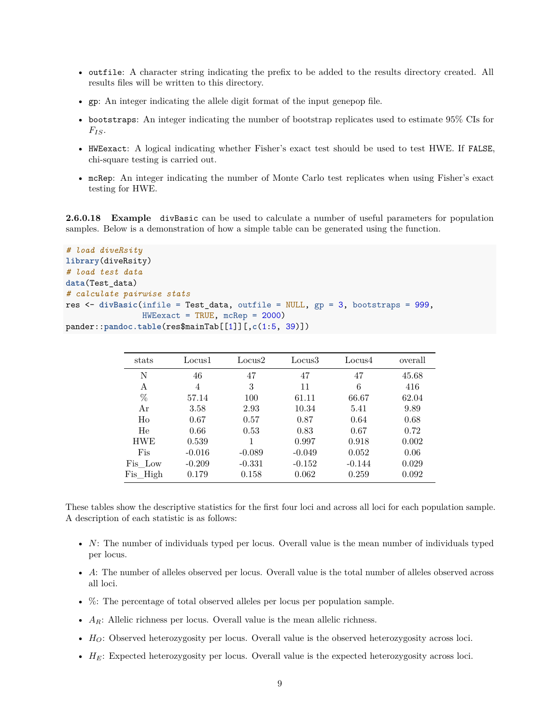- outfile: A character string indicating the prefix to be added to the results directory created. All results files will be written to this directory.
- gp: An integer indicating the allele digit format of the input genepop file.
- bootstraps: An integer indicating the number of bootstrap replicates used to estimate 95% CIs for  $F_{IS}$ .
- HWEexact: A logical indicating whether Fisher's exact test should be used to test HWE. If FALSE, chi-square testing is carried out.
- mcRep: An integer indicating the number of Monte Carlo test replicates when using Fisher's exact testing for HWE.

**2.6.0.18 Example** divBasic can be used to calculate a number of useful parameters for population samples. Below is a demonstration of how a simple table can be generated using the function.

```
# load diveRsity
library(diveRsity)
# load test data
data(Test_data)
# calculate pairwise stats
res <- divBasic(infile = Test_data, outfile = NULL, gp = 3, bootstraps = 999,
                HWEexact = TRUE, mcRep = 2000)
pander::pandoc.table(res$mainTab[[1]][,c(1:5, 39)])
```

| stats      | Locus <sub>1</sub> | Locus2   | Locus3   | Locus4   | overall |
|------------|--------------------|----------|----------|----------|---------|
| N          | 46                 | 47       | 47       | 47       | 45.68   |
| A          | 4                  | 3        | 11       | 6        | 416     |
| %          | 57.14              | 100      | 61.11    | 66.67    | 62.04   |
| Ar         | 3.58               | 2.93     | 10.34    | 5.41     | 9.89    |
| Ho         | 0.67               | 0.57     | 0.87     | 0.64     | 0.68    |
| He         | 0.66               | 0.53     | 0.83     | 0.67     | 0.72    |
| <b>HWE</b> | 0.539              |          | 0.997    | 0.918    | 0.002   |
| Fis        | $-0.016$           | $-0.089$ | $-0.049$ | 0.052    | 0.06    |
| Fis_Low    | $-0.209$           | $-0.331$ | $-0.152$ | $-0.144$ | 0.029   |
| Fis High   | 0.179              | 0.158    | 0.062    | 0.259    | 0.092   |

These tables show the descriptive statistics for the first four loci and across all loci for each population sample. A description of each statistic is as follows:

- *N*: The number of individuals typed per locus. Overall value is the mean number of individuals typed per locus.
- *A*: The number of alleles observed per locus. Overall value is the total number of alleles observed across all loci.
- %: The percentage of total observed alleles per locus per population sample.
- $A_R$ : Allelic richness per locus. Overall value is the mean allelic richness.
- *HO*: Observed heterozygosity per locus. Overall value is the observed heterozygosity across loci.
- *H<sub>E</sub>*: Expected heterozygosity per locus. Overall value is the expected heterozygosity across loci.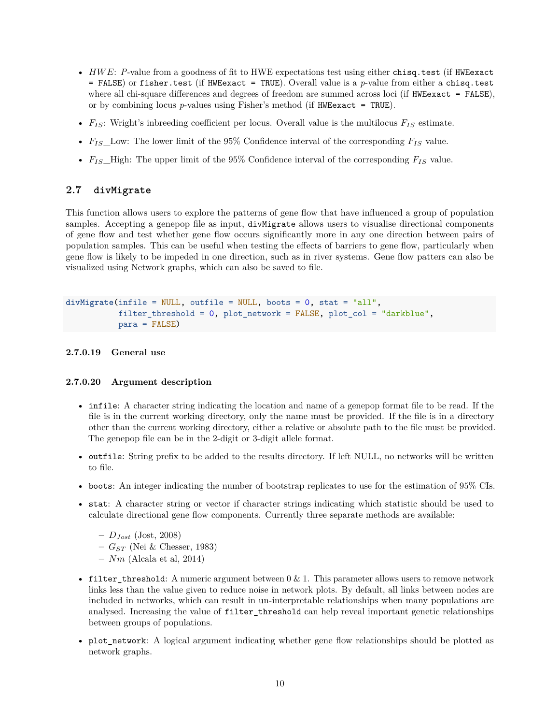- *HWE*: *P*-value from a goodness of fit to HWE expectations test using either chisq.test (if HWEexact = FALSE) or fisher.test (if HWEexact = TRUE). Overall value is a *p*-value from either a chisq.test where all chi-square differences and degrees of freedom are summed across loci (if HWEexact = FALSE), or by combining locus *p*-values using Fisher's method (if HWEexact = TRUE).
- *F<sub>IS</sub>*: Wright's inbreeding coefficient per locus. Overall value is the multilocus  $F_{IS}$  estimate.
- *F<sub>IS</sub>*\_Low: The lower limit of the 95% Confidence interval of the corresponding  $F_{IS}$  value.
- *F<sub>IS</sub>*\_High: The upper limit of the 95% Confidence interval of the corresponding  $F_{IS}$  value.

## **2.7 divMigrate**

This function allows users to explore the patterns of gene flow that have influenced a group of population samples. Accepting a genepop file as input, divMigrate allows users to visualise directional components of gene flow and test whether gene flow occurs significantly more in any one direction between pairs of population samples. This can be useful when testing the effects of barriers to gene flow, particularly when gene flow is likely to be impeded in one direction, such as in river systems. Gene flow patters can also be visualized using Network graphs, which can also be saved to file.

```
divMigrate(infile = NULL, outfile = NULL, boots = 0, stat = "all",
           filter_threshold = 0, plot_network = FALSE, plot_col = "darkblue",
           para = FALSE)
```
#### **2.7.0.19 General use**

#### **2.7.0.20 Argument description**

- infile: A character string indicating the location and name of a genepop format file to be read. If the file is in the current working directory, only the name must be provided. If the file is in a directory other than the current working directory, either a relative or absolute path to the file must be provided. The genepop file can be in the 2-digit or 3-digit allele format.
- outfile: String prefix to be added to the results directory. If left NULL, no networks will be written to file.
- boots: An integer indicating the number of bootstrap replicates to use for the estimation of 95% CIs.
- stat: A character string or vector if character strings indicating which statistic should be used to calculate directional gene flow components. Currently three separate methods are available:
	- **–** *DJost* (Jost, 2008)
	- **–** *GST* (Nei & Chesser, 1983)
	- **–** *Nm* (Alcala et al, 2014)
- filter\_threshold: A numeric argument between  $0 \& 1$ . This parameter allows users to remove network links less than the value given to reduce noise in network plots. By default, all links between nodes are included in networks, which can result in un-interpretable relationships when many populations are analysed. Increasing the value of filter\_threshold can help reveal important genetic relationships between groups of populations.
- plot\_network: A logical argument indicating whether gene flow relationships should be plotted as network graphs.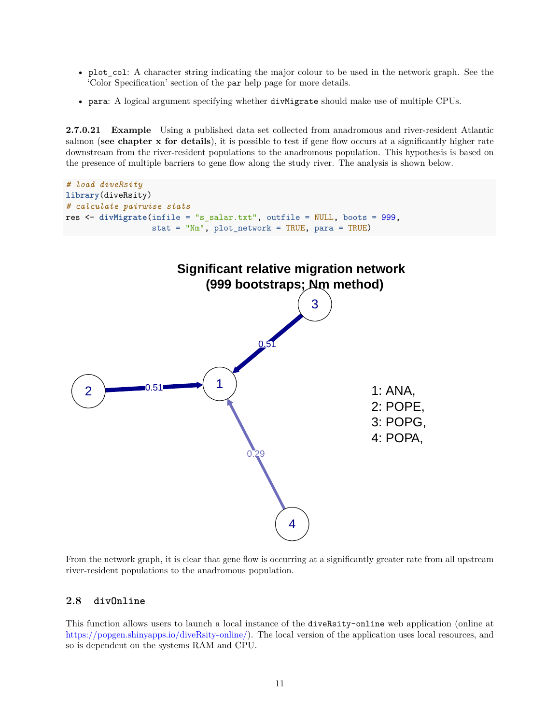- plot col: A character string indicating the major colour to be used in the network graph. See the 'Color Specification' section of the par help page for more details.
- para: A logical argument specifying whether divMigrate should make use of multiple CPUs.

**2.7.0.21 Example** Using a published data set collected from anadromous and river-resident Atlantic salmon (**see chapter x for details**), it is possible to test if gene flow occurs at a significantly higher rate downstream from the river-resident populations to the anadromous population. This hypothesis is based on the presence of multiple barriers to gene flow along the study river. The analysis is shown below.



From the network graph, it is clear that gene flow is occurring at a significantly greater rate from all upstream river-resident populations to the anadromous population.

#### **2.8 divOnline**

This function allows users to launch a local instance of the diveRsity-online web application (online at [https://popgen.shinyapps.io/diveRsity-online/\)](https://popgen.shinyapps.io/diveRsity-online/). The local version of the application uses local resources, and so is dependent on the systems RAM and CPU.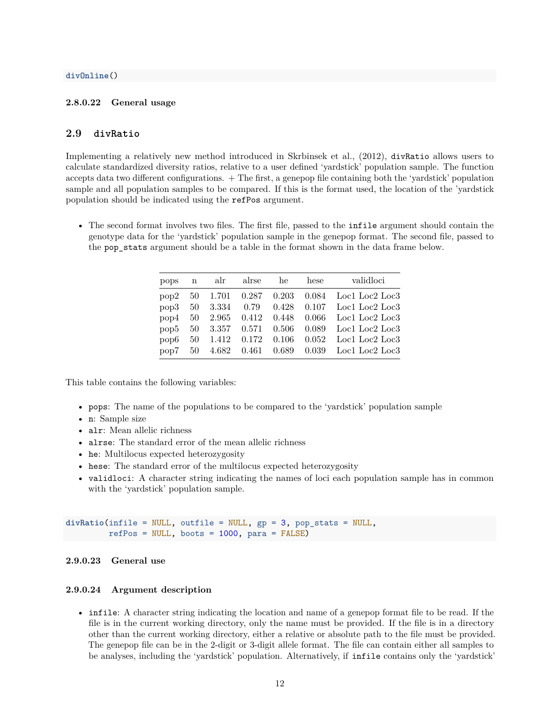#### **2.8.0.22 General usage**

## **2.9 divRatio**

Implementing a relatively new method introduced in Skrbinsek et al., (2012), divRatio allows users to calculate standardized diversity ratios, relative to a user defined 'yardstick' population sample. The function accepts data two different configurations. + The first, a genepop file containing both the 'yardstick' population sample and all population samples to be compared. If this is the format used, the location of the 'yardstick population should be indicated using the refPos argument.

• The second format involves two files. The first file, passed to the infile argument should contain the genotype data for the 'yardstick' population sample in the genepop format. The second file, passed to the pop\_stats argument should be a table in the format shown in the data frame below.

|  | pops n alr alrse he |  | hese | validloci                                      |
|--|---------------------|--|------|------------------------------------------------|
|  |                     |  |      | pop2 50 1.701 0.287 0.203 0.084 Loc1 Loc2 Loc3 |
|  |                     |  |      | pop3 50 3.334 0.79 0.428 0.107 Loc1 Loc2 Loc3  |
|  |                     |  |      | pop4 50 2.965 0.412 0.448 0.066 Loc1 Loc2 Loc3 |
|  |                     |  |      | pop5 50 3.357 0.571 0.506 0.089 Loc1 Loc2 Loc3 |
|  |                     |  |      | pop6 50 1.412 0.172 0.106 0.052 Loc1 Loc2 Loc3 |
|  |                     |  |      | pop7 50 4.682 0.461 0.689 0.039 Loc1 Loc2 Loc3 |

This table contains the following variables:

- pops: The name of the populations to be compared to the 'yardstick' population sample
- n: Sample size
- alr: Mean allelic richness
- alrse: The standard error of the mean allelic richness
- he: Multilocus expected heterozygosity
- hese: The standard error of the multilocus expected heterozygosity
- validloci: A character string indicating the names of loci each population sample has in common with the 'yardstick' population sample.

**divRatio**(infile = NULL, outfile = NULL, gp = 3, pop\_stats = NULL,  $refPos = NULL, books = 1000, para = FALSE)$ 

#### **2.9.0.23 General use**

#### **2.9.0.24 Argument description**

• infile: A character string indicating the location and name of a genepop format file to be read. If the file is in the current working directory, only the name must be provided. If the file is in a directory other than the current working directory, either a relative or absolute path to the file must be provided. The genepop file can be in the 2-digit or 3-digit allele format. The file can contain either all samples to be analyses, including the 'yardstick' population. Alternatively, if infile contains only the 'yardstick'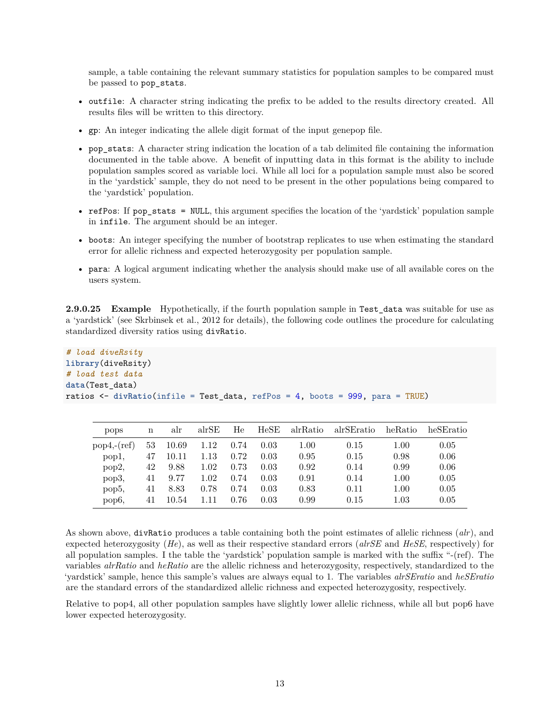sample, a table containing the relevant summary statistics for population samples to be compared must be passed to pop\_stats.

- outfile: A character string indicating the prefix to be added to the results directory created. All results files will be written to this directory.
- gp: An integer indicating the allele digit format of the input genepop file.
- pop stats: A character string indication the location of a tab delimited file containing the information documented in the table above. A benefit of inputting data in this format is the ability to include population samples scored as variable loci. While all loci for a population sample must also be scored in the 'yardstick' sample, they do not need to be present in the other populations being compared to the 'yardstick' population.
- refPos: If pop\_stats = NULL, this argument specifies the location of the 'yardstick' population sample in infile. The argument should be an integer.
- boots: An integer specifying the number of bootstrap replicates to use when estimating the standard error for allelic richness and expected heterozygosity per population sample.
- para: A logical argument indicating whether the analysis should make use of all available cores on the users system.

**2.9.0.25 Example** Hypothetically, if the fourth population sample in Test\_data was suitable for use as a 'yardstick' (see Skrbinsek et al., 2012 for details), the following code outlines the procedure for calculating standardized diversity ratios using divRatio.

```
# load diveRsity
library(diveRsity)
# load test data
data(Test_data)
ratios <- divRatio(infile = Test_data, refPos = 4, boots = 999, para = TRUE)
```

| pops             | n  | alr   | $\operatorname{alrSE}$ | He   | HeSE | alrRatio | alrSEratio | heRatio | heSEratio |
|------------------|----|-------|------------------------|------|------|----------|------------|---------|-----------|
| $pop4,-(ref)$    | 53 | 10.69 | 1.12                   | 0.74 | 0.03 | 1.00     | 0.15       | 1.00    | 0.05      |
| pop1,            | 47 | 10.11 | 1.13                   | 0.72 | 0.03 | 0.95     | 0.15       | 0.98    | 0.06      |
| pop2,            | 42 | 9.88  | 1.02                   | 0.73 | 0.03 | 0.92     | 0.14       | 0.99    | 0.06      |
| pop3,            | 41 | 9.77  | 1.02                   | 0.74 | 0.03 | 0.91     | 0.14       | 1.00    | 0.05      |
| pop5,            | 41 | 8.83  | 0.78                   | 0.74 | 0.03 | 0.83     | 0.11       | 1.00    | 0.05      |
| pop <sub>6</sub> | 41 | 10.54 | 1.11                   | 0.76 | 0.03 | 0.99     | 0.15       | 1.03    | 0.05      |

As shown above, divRatio produces a table containing both the point estimates of allelic richness (*alr*), and expected heterozygosity (*He*), as well as their respective standard errors (*alrSE* and *HeSE*, respectively) for all population samples. I the table the 'yardstick' population sample is marked with the suffix "-(ref). The variables *alrRatio* and *heRatio* are the allelic richness and heterozygosity, respectively, standardized to the 'yardstick' sample, hence this sample's values are always equal to 1. The variables *alrSEratio* and *heSEratio* are the standard errors of the standardized allelic richness and expected heterozygosity, respectively.

Relative to pop4, all other population samples have slightly lower allelic richness, while all but pop6 have lower expected heterozygosity.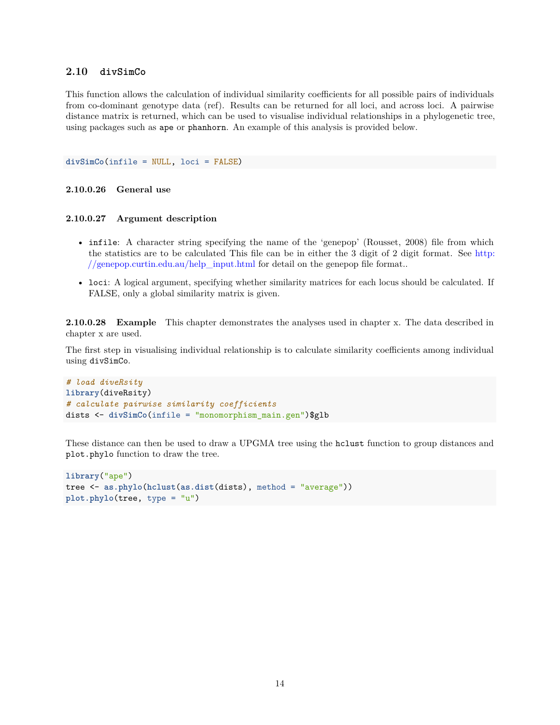## **2.10 divSimCo**

This function allows the calculation of individual similarity coefficients for all possible pairs of individuals from co-dominant genotype data (ref). Results can be returned for all loci, and across loci. A pairwise distance matrix is returned, which can be used to visualise individual relationships in a phylogenetic tree, using packages such as ape or phanhorn. An example of this analysis is provided below.

**divSimCo**(infile = NULL, loci = FALSE)

#### **2.10.0.26 General use**

#### **2.10.0.27 Argument description**

- infile: A character string specifying the name of the 'genepop' (Rousset, 2008) file from which the statistics are to be calculated This file can be in either the 3 digit of 2 digit format. See [http:](http://genepop.curtin.edu.au/help_input.html) [//genepop.curtin.edu.au/help\\_input.html](http://genepop.curtin.edu.au/help_input.html) for detail on the genepop file format..
- loci: A logical argument, specifying whether similarity matrices for each locus should be calculated. If FALSE, only a global similarity matrix is given.

**2.10.0.28 Example** This chapter demonstrates the analyses used in chapter x. The data described in chapter x are used.

The first step in visualising individual relationship is to calculate similarity coefficients among individual using divSimCo.

```
# load diveRsity
library(diveRsity)
# calculate pairwise similarity coefficients
dists <- divSimCo(infile = "monomorphism_main.gen")$glb
```
These distance can then be used to draw a UPGMA tree using the hclust function to group distances and plot.phylo function to draw the tree.

```
library("ape")
tree <- as.phylo(hclust(as.dist(dists), method = "average"))
plot.phylo(tree, type = "u")
```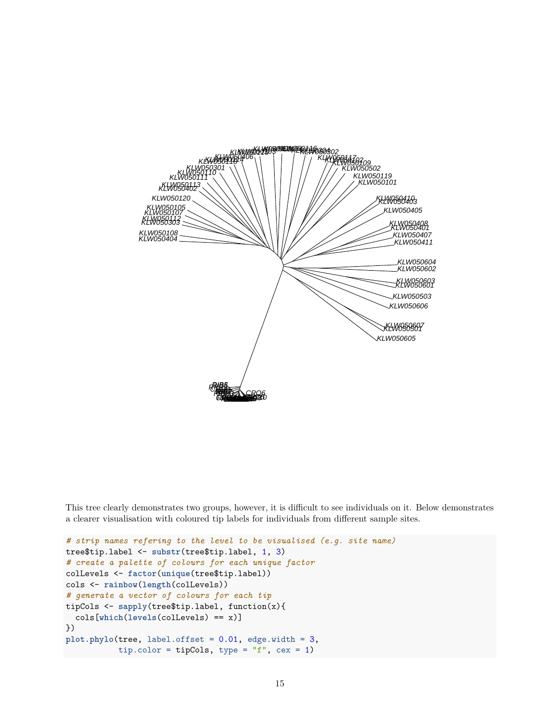

This tree clearly demonstrates two groups, however, it is difficult to see individuals on it. Below demonstrates a clearer visualisation with coloured tip labels for individuals from different sample sites.

```
# strip names refering to the level to be visualised (e.g. site name)
tree$tip.label <- substr(tree$tip.label, 1, 3)
# create a palette of colours for each unique factor
colLevels <- factor(unique(tree$tip.label))
cols <- rainbow(length(colLevels))
# generate a vector of colours for each tip
tipCols <- sapply(tree$tip.label, function(x){
  cols[which(levels(colLevels) == x)]
})
plot.phylo(tree, label.offset = 0.01, edge.width = 3,
           tip.color = tipCols, type = "f", cex = 1)
```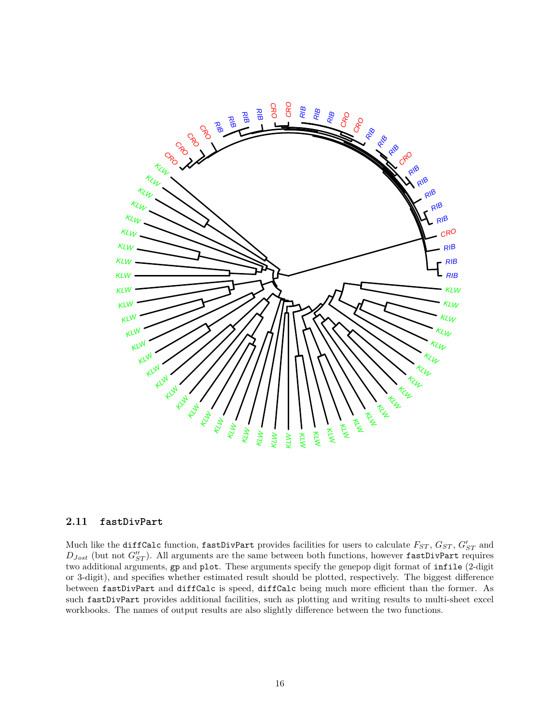

## **2.11 fastDivPart**

Much like the diffCalc function, fastDivPart provides facilities for users to calculate  $F_{ST}$ ,  $G_{ST}$ ,  $G'_{ST}$  and  $D_{Jost}$  (but not  $G''_{ST}$ ). All arguments are the same between both functions, however fastDivPart requires two additional arguments, gp and plot. These arguments specify the genepop digit format of infile (2-digit or 3-digit), and specifies whether estimated result should be plotted, respectively. The biggest difference between fastDivPart and diffCalc is speed, diffCalc being much more efficient than the former. As such fastDivPart provides additional facilities, such as plotting and writing results to multi-sheet excel workbooks. The names of output results are also slightly difference between the two functions.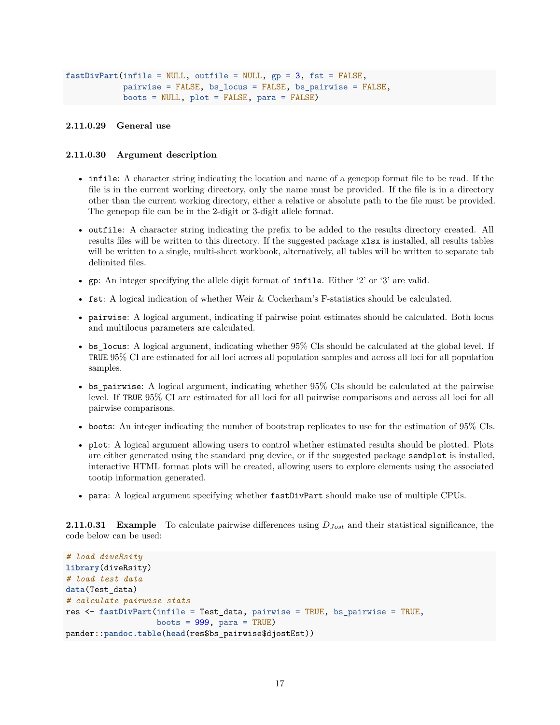```
fastDivPart(infile = NULL, outfile = NULL, gp = 3, fst = FALSE,
            pairwise = FALSE, bs_locus = FALSE, bs_pairwise = FALSE,
            boots = NULL, plot = FALSE, para = FALSE)
```
## **2.11.0.29 General use**

#### **2.11.0.30 Argument description**

- infile: A character string indicating the location and name of a genepop format file to be read. If the file is in the current working directory, only the name must be provided. If the file is in a directory other than the current working directory, either a relative or absolute path to the file must be provided. The genepop file can be in the 2-digit or 3-digit allele format.
- outfile: A character string indicating the prefix to be added to the results directory created. All results files will be written to this directory. If the suggested package xlsx is installed, all results tables will be written to a single, multi-sheet workbook, alternatively, all tables will be written to separate tab delimited files.
- gp: An integer specifying the allele digit format of infile. Either '2' or '3' are valid.
- fst: A logical indication of whether Weir & Cockerham's F-statistics should be calculated.
- pairwise: A logical argument, indicating if pairwise point estimates should be calculated. Both locus and multilocus parameters are calculated.
- bs\_locus: A logical argument, indicating whether 95% CIs should be calculated at the global level. If TRUE 95% CI are estimated for all loci across all population samples and across all loci for all population samples.
- bs pairwise: A logical argument, indicating whether  $95\%$  CIs should be calculated at the pairwise level. If TRUE 95% CI are estimated for all loci for all pairwise comparisons and across all loci for all pairwise comparisons.
- boots: An integer indicating the number of bootstrap replicates to use for the estimation of 95% CIs.
- plot: A logical argument allowing users to control whether estimated results should be plotted. Plots are either generated using the standard png device, or if the suggested package sendplot is installed, interactive HTML format plots will be created, allowing users to explore elements using the associated tootip information generated.
- para: A logical argument specifying whether fastDivPart should make use of multiple CPUs.

**2.11.0.31 Example** To calculate pairwise differences using *DJost* and their statistical significance, the code below can be used:

```
# load diveRsity
library(diveRsity)
# load test data
data(Test_data)
# calculate pairwise stats
res <- fastDivPart(infile = Test_data, pairwise = TRUE, bs_pairwise = TRUE,
                   boots = 999, para = TRUE)
pander::pandoc.table(head(res$bs_pairwise$djostEst))
```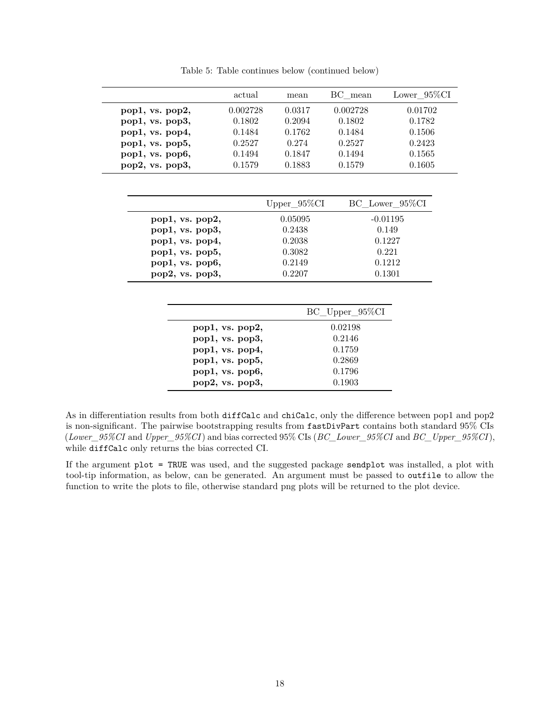Table 5: Table continues below (continued below)

|                 | actual   | mean   | BC mean  | Lower $95\%$ CI |
|-----------------|----------|--------|----------|-----------------|
| pop1, vs. pop2, | 0.002728 | 0.0317 | 0.002728 | 0.01702         |
| pop1, vs. pop3, | 0.1802   | 0.2094 | 0.1802   | 0.1782          |
| pop1, vs. pop4, | 0.1484   | 0.1762 | 0.1484   | 0.1506          |
| pop1, vs. pop5, | 0.2527   | 0.274  | 0.2527   | 0.2423          |
| pop1, vs. pop6, | 0.1494   | 0.1847 | 0.1494   | 0.1565          |
| pop2, vs. pop3, | 0.1579   | 0.1883 | 0.1579   | 0.1605          |
|                 |          |        |          |                 |

|                 | $Upper_95\%CI$ | BC Lower 95\%CI |
|-----------------|----------------|-----------------|
| pop1, vs. pop2, | 0.05095        | $-0.01195$      |
| pop1, vs. pop3, | 0.2438         | 0.149           |
| pop1, vs. pop4, | 0.2038         | 0.1227          |
| pop1, vs. pop5, | 0.3082         | 0.221           |
| pop1, vs. pop6, | 0.2149         | 0.1212          |
| pop2, vs. pop3, | 0.2207         | 0.1301          |

|                 | $BC_{Upper_95\%CI}$ |
|-----------------|---------------------|
| pop1, vs. pop2, | 0.02198             |
| pop1, vs. pop3, | 0.2146              |
| pop1, vs. pop4, | 0.1759              |
| pop1, vs. pop5, | 0.2869              |
| pop1, vs. pop6, | 0.1796              |
| pop2, vs. pop3, | 0.1903              |

As in differentiation results from both diffCalc and chiCalc, only the difference between pop1 and pop2 is non-significant. The pairwise bootstrapping results from fastDivPart contains both standard 95% CIs (*Lower\_95%CI* and *Upper\_95%CI*) and bias corrected 95% CIs (*BC\_Lower\_95%CI* and *BC\_Upper\_95%CI*), while diffCalc only returns the bias corrected CI.

If the argument plot = TRUE was used, and the suggested package sendplot was installed, a plot with tool-tip information, as below, can be generated. An argument must be passed to outfile to allow the function to write the plots to file, otherwise standard png plots will be returned to the plot device.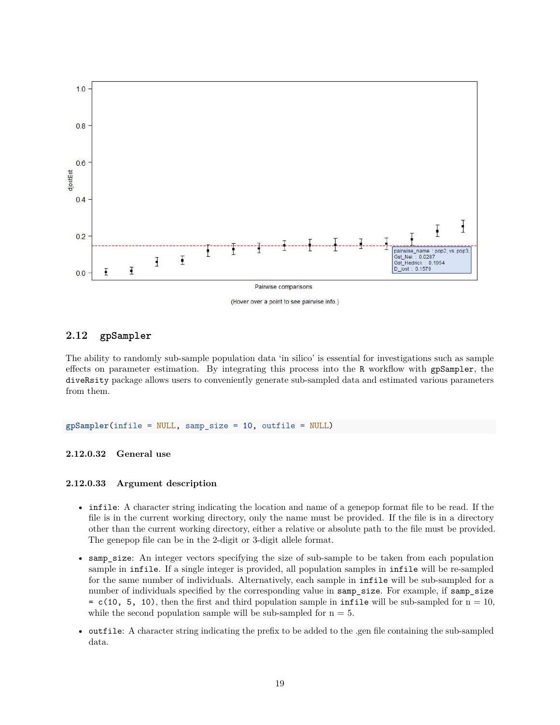

(Hover over a point to see pairwise info.)

## **2.12 gpSampler**

The ability to randomly sub-sample population data 'in silico' is essential for investigations such as sample effects on parameter estimation. By integrating this process into the R workflow with gpSampler, the diveRsity package allows users to conveniently generate sub-sampled data and estimated various parameters from them.

**gpSampler**(infile = NULL, samp\_size = 10, outfile = NULL)

#### **2.12.0.32 General use**

#### **2.12.0.33 Argument description**

- infile: A character string indicating the location and name of a genepop format file to be read. If the file is in the current working directory, only the name must be provided. If the file is in a directory other than the current working directory, either a relative or absolute path to the file must be provided. The genepop file can be in the 2-digit or 3-digit allele format.
- samp\_size: An integer vectors specifying the size of sub-sample to be taken from each population sample in infile. If a single integer is provided, all population samples in infile will be re-sampled for the same number of individuals. Alternatively, each sample in infile will be sub-sampled for a number of individuals specified by the corresponding value in samp\_size. For example, if samp\_size  $= c(10, 5, 10)$ , then the first and third population sample in infile will be sub-sampled for  $n = 10$ , while the second population sample will be sub-sampled for  $n = 5$ .
- outfile: A character string indicating the prefix to be added to the .gen file containing the sub-sampled data.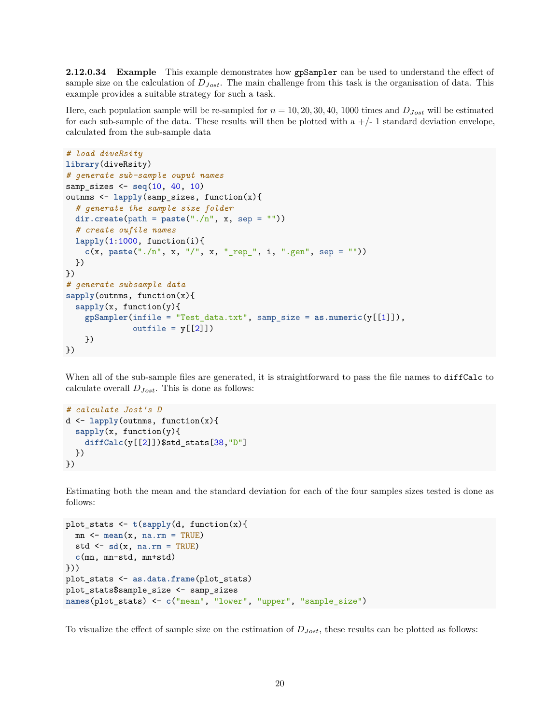**2.12.0.34** Example This example demonstrates how gpSampler can be used to understand the effect of sample size on the calculation of *DJost*. The main challenge from this task is the organisation of data. This example provides a suitable strategy for such a task.

Here, each population sample will be re-sampled for  $n = 10, 20, 30, 40, 1000$  times and  $D_{Jost}$  will be estimated for each sub-sample of the data. These results will then be plotted with  $a +/1$  standard deviation envelope, calculated from the sub-sample data

```
# load diveRsity
library(diveRsity)
# generate sub-sample ouput names
samp_sizes <- seq(10, 40, 10)
outnms <- lapply(samp_sizes, function(x){
  # generate the sample size folder
  dir.create(path = paste("./n", x, sep = ""))
  # create oufile names
  lapply(1:1000, function(i){
    c(x, paste("./n", x, "/", x, "_rep_", i, ".gen", sep = ""))
 })
})
# generate subsample data
sapply(outnms, function(x){
  sapply(x, function(y){
    gpSampler(infile = "Test_data.txt", samp_size = as.numeric(y[[1]]),
              outfile = y[[2]]})
})
```
When all of the sub-sample files are generated, it is straightforward to pass the file names to diffCalc to calculate overall *DJost*. This is done as follows:

```
# calculate Jost's D
d <- lapply(outnms, function(x){
  sapply(x, function(y){
    diffCalc(y[[2]])$std_stats[38,"D"]
 })
})
```
Estimating both the mean and the standard deviation for each of the four samples sizes tested is done as follows:

```
plot_stats <- t(sapply(d, function(x){
  mn \leq - \text{mean}(x, \text{na} \cdot rm) = \text{TRUE}std \leq sd(x, \text{na}.\text{rm} = \text{TRUE})c(mn, mn-std, mn+std)
}))
plot_stats <- as.data.frame(plot_stats)
plot_stats$sample_size <- samp_sizes
names(plot_stats) <- c("mean", "lower", "upper", "sample_size")
```
To visualize the effect of sample size on the estimation of *DJost*, these results can be plotted as follows: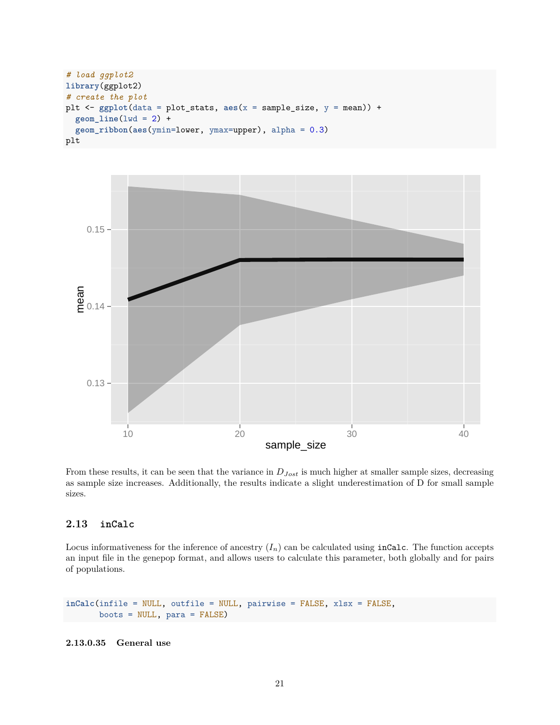```
# load ggplot2
library(ggplot2)
# create the plot
plt <- ggplot(data = plot_stats, aes(x = sample_size, y = mean)) +
  geom_line(lwd = 2) +
  geom_ribbon(aes(ymin=lower, ymax=upper), alpha = 0.3)
plt
```


From these results, it can be seen that the variance in *DJost* is much higher at smaller sample sizes, decreasing as sample size increases. Additionally, the results indicate a slight underestimation of D for small sample sizes.

## **2.13 inCalc**

Locus informativeness for the inference of ancestry  $(I_n)$  can be calculated using inCalc. The function accepts an input file in the genepop format, and allows users to calculate this parameter, both globally and for pairs of populations.

**inCalc**(infile = NULL, outfile = NULL, pairwise = FALSE, xlsx = FALSE, boots = NULL, para = FALSE)

#### **2.13.0.35 General use**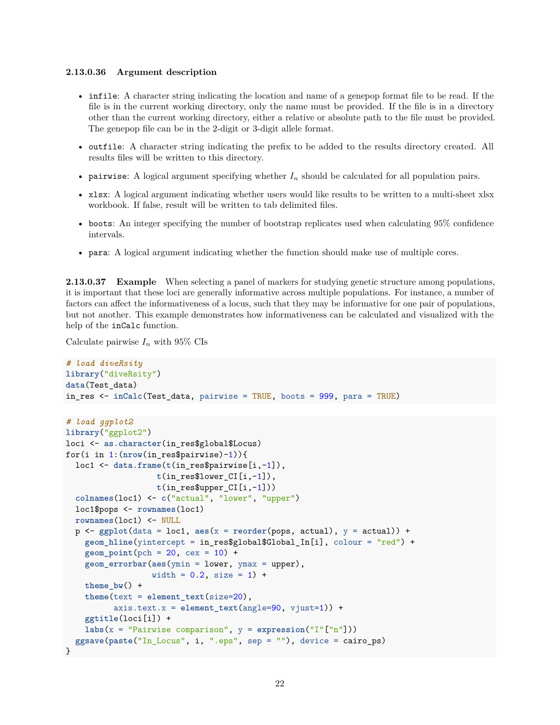#### **2.13.0.36 Argument description**

- infile: A character string indicating the location and name of a genepop format file to be read. If the file is in the current working directory, only the name must be provided. If the file is in a directory other than the current working directory, either a relative or absolute path to the file must be provided. The genepop file can be in the 2-digit or 3-digit allele format.
- outfile: A character string indicating the prefix to be added to the results directory created. All results files will be written to this directory.
- pairwise: A logical argument specifying whether *I<sup>n</sup>* should be calculated for all population pairs.
- xlsx: A logical argument indicating whether users would like results to be written to a multi-sheet xlsx workbook. If false, result will be written to tab delimited files.
- boots: An integer specifying the number of bootstrap replicates used when calculating 95% confidence intervals.
- para: A logical argument indicating whether the function should make use of multiple cores.

**2.13.0.37** Example When selecting a panel of markers for studying genetic structure among populations, it is important that these loci are generally informative across multiple populations. For instance, a number of factors can affect the informativeness of a locus, such that they may be informative for one pair of populations, but not another. This example demonstrates how informativeness can be calculated and visualized with the help of the inCalc function.

Calculate pairwise  $I_n$  with 95% CIs

```
# load diveRsity
library("diveRsity")
data(Test_data)
in_res <- inCalc(Test_data, pairwise = TRUE, boots = 999, para = TRUE)
# load ggplot2
library("ggplot2")
loci <- as.character(in_res$global$Locus)
for(i in 1:(nrow(in_res$pairwise)-1)){
  loc1 <- data.frame(t(in_res$pairwise[i,-1]),
                   t(in_res$lower_CI[i,-1]),
                   t(in_res$upper_CI[i,-1]))
  colnames(loc1) <- c("actual", "lower", "upper")
  loc1$pops <- rownames(loc1)
  rownames(loc1) <- NULL
  p <- ggplot(data = loc1, aes(x = reorder(pops, actual), y = actual)) +
   geom_hline(yintercept = in_res$global$Global_In[i], colour = "red") +
    geom_point(pch = 20, cex = 10) +
   geom_errorbar(aes(ymin = lower, ymax = upper),
                  width = 0.2, size = 1) +theme bw() +theme(text = element_text(size=20),
          axis.text.x = element_text(angle=90, vjust=1)) +
   ggtitle(loci[i]) +
   labs(x = "Pairwise comparison", y = expression("I"["n"]))
  ggsave(paste("In_Locus", i, ".eps", sep = ""), device = cairo_ps)
}
```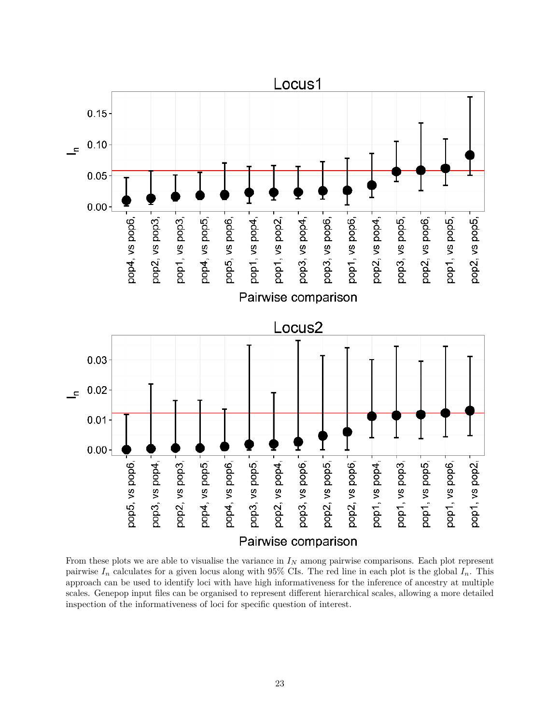

From these plots we are able to visualise the variance in  $I_N$  among pairwise comparisons. Each plot represent pairwise  $I_n$  calculates for a given locus along with 95% CIs. The red line in each plot is the global  $I_n$ . This approach can be used to identify loci with have high informativeness for the inference of ancestry at multiple scales. Genepop input files can be organised to represent different hierarchical scales, allowing a more detailed inspection of the informativeness of loci for specific question of interest.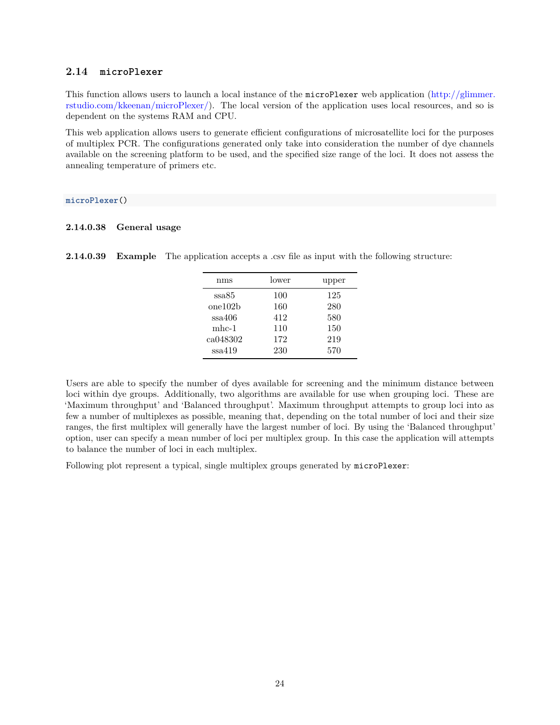## **2.14 microPlexer**

This function allows users to launch a local instance of the microPlexer web application [\(http://glimmer.](http://glimmer.rstudio.com/kkeenan/microPlexer/) [rstudio.com/kkeenan/microPlexer/\)](http://glimmer.rstudio.com/kkeenan/microPlexer/). The local version of the application uses local resources, and so is dependent on the systems RAM and CPU.

This web application allows users to generate efficient configurations of microsatellite loci for the purposes of multiplex PCR. The configurations generated only take into consideration the number of dye channels available on the screening platform to be used, and the specified size range of the loci. It does not assess the annealing temperature of primers etc.

#### **microPlexer**()

#### **2.14.0.38 General usage**

**2.14.0.39** Example The application accepts a .csv file as input with the following structure:

| nms      | lower | upper |
|----------|-------|-------|
| ssa85    | 100   | 125   |
| one102b  | 160   | 280   |
| ssa406   | 412   | 580   |
| $mhc-1$  | 110   | 150   |
| ca048302 | 172   | 219   |
| ssa419   | 230   | 570   |

Users are able to specify the number of dyes available for screening and the minimum distance between loci within dye groups. Additionally, two algorithms are available for use when grouping loci. These are 'Maximum throughput' and 'Balanced throughput'. Maximum throughput attempts to group loci into as few a number of multiplexes as possible, meaning that, depending on the total number of loci and their size ranges, the first multiplex will generally have the largest number of loci. By using the 'Balanced throughput' option, user can specify a mean number of loci per multiplex group. In this case the application will attempts to balance the number of loci in each multiplex.

Following plot represent a typical, single multiplex groups generated by microPlexer: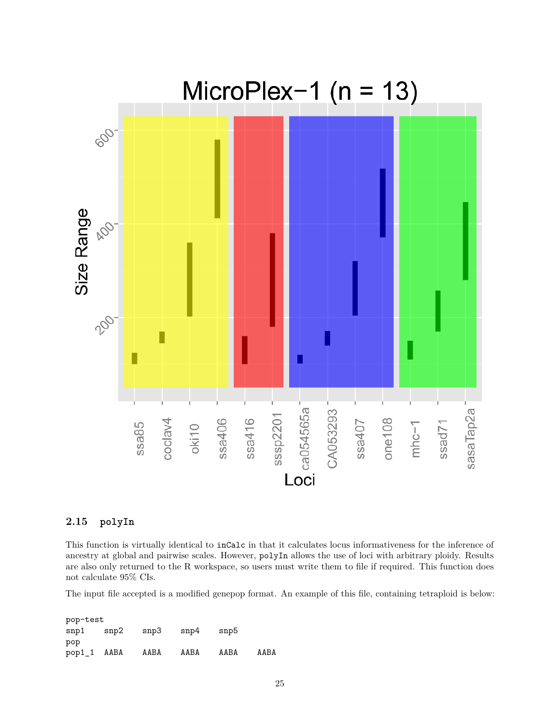

## **2.15 polyIn**

This function is virtually identical to inCalc in that it calculates locus informativeness for the inference of ancestry at global and pairwise scales. However, polyIn allows the use of loci with arbitrary ploidy. Results are also only returned to the R workspace, so users must write them to file if required. This function does not calculate 95% CIs.

The input file accepted is a modified genepop format. An example of this file, containing tetraploid is below:

| pop-test |      |      |      |      |      |
|----------|------|------|------|------|------|
| sup1     | sup2 | sup3 | sup4 | sup5 |      |
| pop      |      |      |      |      |      |
| $pop1_1$ | AABA | AABA | AABA | AABA | AABA |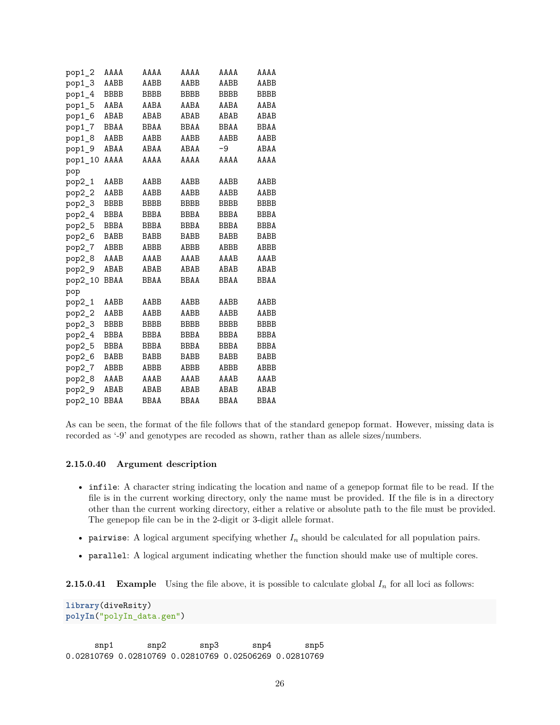|             |                                                                    |                                                             |                                                             | AAAA                                                               |
|-------------|--------------------------------------------------------------------|-------------------------------------------------------------|-------------------------------------------------------------|--------------------------------------------------------------------|
|             |                                                                    |                                                             |                                                             | AABB                                                               |
|             |                                                                    |                                                             |                                                             | <b>BBBB</b>                                                        |
|             |                                                                    |                                                             |                                                             |                                                                    |
|             |                                                                    |                                                             |                                                             | AABA                                                               |
|             |                                                                    |                                                             |                                                             | ABAB                                                               |
|             |                                                                    |                                                             |                                                             | <b>BBAA</b>                                                        |
|             |                                                                    |                                                             |                                                             | AABB                                                               |
| ABAA        | ABAA                                                               | ABAA                                                        | $-9$                                                        | ABAA                                                               |
| AAAA        | AAAA                                                               | AAAA                                                        | AAAA                                                        | AAAA                                                               |
|             |                                                                    |                                                             |                                                             |                                                                    |
| AABB        | AABB                                                               | AABB                                                        | AABB                                                        | AABB                                                               |
| AABB        | AABB                                                               | AABB                                                        | AABB                                                        | AABB                                                               |
| <b>BBBB</b> | <b>BBBB</b>                                                        | <b>BBBB</b>                                                 | <b>BBBB</b>                                                 | <b>BBBB</b>                                                        |
| <b>BBBA</b> | <b>BBBA</b>                                                        | <b>BBBA</b>                                                 | <b>BBBA</b>                                                 | <b>BBBA</b>                                                        |
| <b>BBBA</b> | <b>BBBA</b>                                                        | <b>BBBA</b>                                                 | <b>BBBA</b>                                                 | <b>BBBA</b>                                                        |
| <b>BABB</b> | <b>BABB</b>                                                        | <b>BABB</b>                                                 | <b>BABB</b>                                                 | <b>BABB</b>                                                        |
| ABBB        | <b>ABBB</b>                                                        | <b>ABBB</b>                                                 | <b>ABBB</b>                                                 | <b>ABBB</b>                                                        |
| AAAB        | AAAB                                                               | AAAB                                                        | AAAB                                                        | AAAB                                                               |
| ABAB        | ABAB                                                               | ABAB                                                        | ABAB                                                        | ABAB                                                               |
| <b>BBAA</b> | <b>BBAA</b>                                                        | <b>BBAA</b>                                                 | <b>BBAA</b>                                                 | <b>BBAA</b>                                                        |
|             |                                                                    |                                                             |                                                             |                                                                    |
| AABB        | AABB                                                               | AABB                                                        | AABB                                                        | AABB                                                               |
| AABB        | AABB                                                               | AABB                                                        | AABB                                                        | AABB                                                               |
| <b>BBBB</b> | <b>BBBB</b>                                                        | <b>BBBB</b>                                                 | <b>BBBB</b>                                                 | <b>BBBB</b>                                                        |
| <b>BBBA</b> | <b>BBBA</b>                                                        | <b>BBBA</b>                                                 | <b>BBBA</b>                                                 | <b>BBBA</b>                                                        |
| <b>BBBA</b> | <b>BBBA</b>                                                        | <b>BBBA</b>                                                 | <b>BBBA</b>                                                 | <b>BBBA</b>                                                        |
| <b>BABB</b> | <b>BABB</b>                                                        | <b>BABB</b>                                                 | <b>BABB</b>                                                 | <b>BABB</b>                                                        |
| <b>ABBB</b> | <b>ABBB</b>                                                        | <b>ABBB</b>                                                 | <b>ABBB</b>                                                 | <b>ABBB</b>                                                        |
| AAAB        | AAAB                                                               | AAAB                                                        | AAAB                                                        | AAAB                                                               |
| ABAB        | ABAB                                                               | ABAB                                                        | ABAB                                                        | ABAB                                                               |
| <b>BBAA</b> | <b>BBAA</b>                                                        | <b>BBAA</b>                                                 | <b>BBAA</b>                                                 | <b>BBAA</b>                                                        |
|             | AAAA<br>AABB<br><b>BBBB</b><br>AABA<br>ABAB<br><b>BBAA</b><br>AABB | AAAA<br>AABB<br><b>BBBB</b><br>AABA<br>ABAB<br>BBAA<br>AABB | AAAA<br>AABB<br><b>BBBB</b><br>AABA<br>ABAB<br>BBAA<br>AABB | AAAA<br>AABB<br><b>BBBB</b><br>AABA<br>ABAB<br><b>BBAA</b><br>AABB |

As can be seen, the format of the file follows that of the standard genepop format. However, missing data is recorded as '-9' and genotypes are recoded as shown, rather than as allele sizes/numbers.

#### **2.15.0.40 Argument description**

- infile: A character string indicating the location and name of a genepop format file to be read. If the file is in the current working directory, only the name must be provided. If the file is in a directory other than the current working directory, either a relative or absolute path to the file must be provided. The genepop file can be in the 2-digit or 3-digit allele format.
- pairwise: A logical argument specifying whether  $I_n$  should be calculated for all population pairs.
- parallel: A logical argument indicating whether the function should make use of multiple cores.

**2.15.0.41** Example Using the file above, it is possible to calculate global  $I_n$  for all loci as follows:

```
library(diveRsity)
polyIn("polyIn_data.gen")
```
snp1 snp2 snp3 snp4 snp5 0.02810769 0.02810769 0.02810769 0.02506269 0.02810769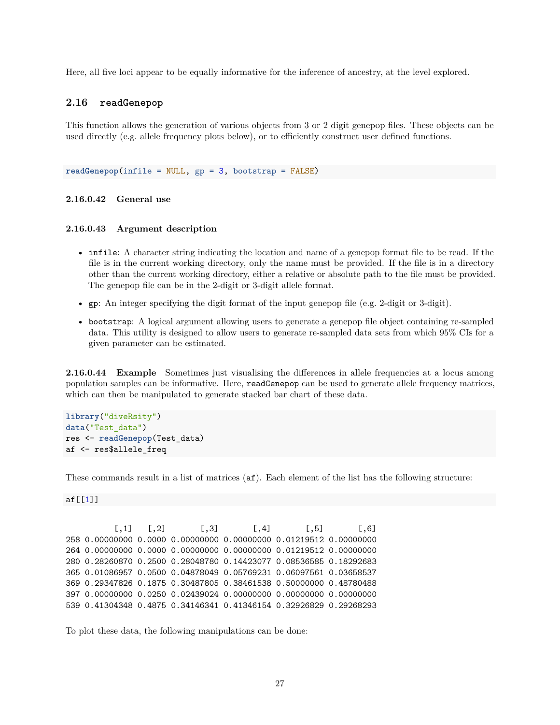Here, all five loci appear to be equally informative for the inference of ancestry, at the level explored.

### **2.16 readGenepop**

This function allows the generation of various objects from 3 or 2 digit genepop files. These objects can be used directly (e.g. allele frequency plots below), or to efficiently construct user defined functions.

**readGenepop**(infile = NULL, gp = 3, bootstrap = FALSE)

#### **2.16.0.42 General use**

#### **2.16.0.43 Argument description**

- infile: A character string indicating the location and name of a genepop format file to be read. If the file is in the current working directory, only the name must be provided. If the file is in a directory other than the current working directory, either a relative or absolute path to the file must be provided. The genepop file can be in the 2-digit or 3-digit allele format.
- gp: An integer specifying the digit format of the input genepop file (e.g. 2-digit or 3-digit).
- bootstrap: A logical argument allowing users to generate a genepop file object containing re-sampled data. This utility is designed to allow users to generate re-sampled data sets from which 95% CIs for a given parameter can be estimated.

**2.16.0.44** Example Sometimes just visualising the differences in allele frequencies at a locus among population samples can be informative. Here, readGenepop can be used to generate allele frequency matrices, which can then be manipulated to generate stacked bar chart of these data.

```
library("diveRsity")
data("Test_data")
res <- readGenepop(Test_data)
af <- res$allele_freq
```
These commands result in a list of matrices (af). Each element of the list has the following structure:

#### af[[1]]

 $[0,1]$   $[0,2]$   $[0,3]$   $[0,4]$   $[0,5]$   $[0,6]$ 258 0.00000000 0.0000 0.00000000 0.00000000 0.01219512 0.00000000 264 0.00000000 0.0000 0.00000000 0.00000000 0.01219512 0.00000000 280 0.28260870 0.2500 0.28048780 0.14423077 0.08536585 0.18292683 365 0.01086957 0.0500 0.04878049 0.05769231 0.06097561 0.03658537 369 0.29347826 0.1875 0.30487805 0.38461538 0.50000000 0.48780488 397 0.00000000 0.0250 0.02439024 0.00000000 0.00000000 0.00000000 539 0.41304348 0.4875 0.34146341 0.41346154 0.32926829 0.29268293

To plot these data, the following manipulations can be done: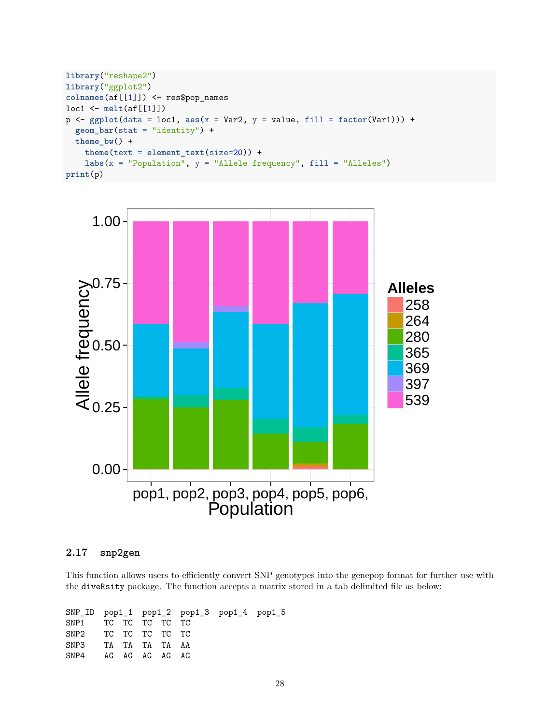```
library("reshape2")
library("ggplot2")
colnames(af[[1]]) <- res$pop_names
loc1 <- melt(af[[1]])
p <- ggplot(data = loc1, aes(x = Var2, y = value, fill = factor(Var1))) +
  geom_bar(stat = "identity") +
  theme_bw() +
    theme(text = element_text(size=20)) +
    labs(x = "Population", y = "Allele frequency", fill = "Alleles")
print(p)
```


## **2.17 snp2gen**

This function allows users to efficiently convert SNP genotypes into the genepop format for further use with the diveRsity package. The function accepts a matrix stored in a tab delimited file as below:

|                     |  |  | $SNPID$ pop1_1 pop1_2 pop1_3 pop1_4 pop1_5 |  |  |  |
|---------------------|--|--|--------------------------------------------|--|--|--|
| SNP1 TC TC TC TC TC |  |  |                                            |  |  |  |
| SNP2 TC TC TC TC TC |  |  |                                            |  |  |  |
| SNP3 TA TA TA TA AA |  |  |                                            |  |  |  |
| SNP4 AG AG AG AG AG |  |  |                                            |  |  |  |